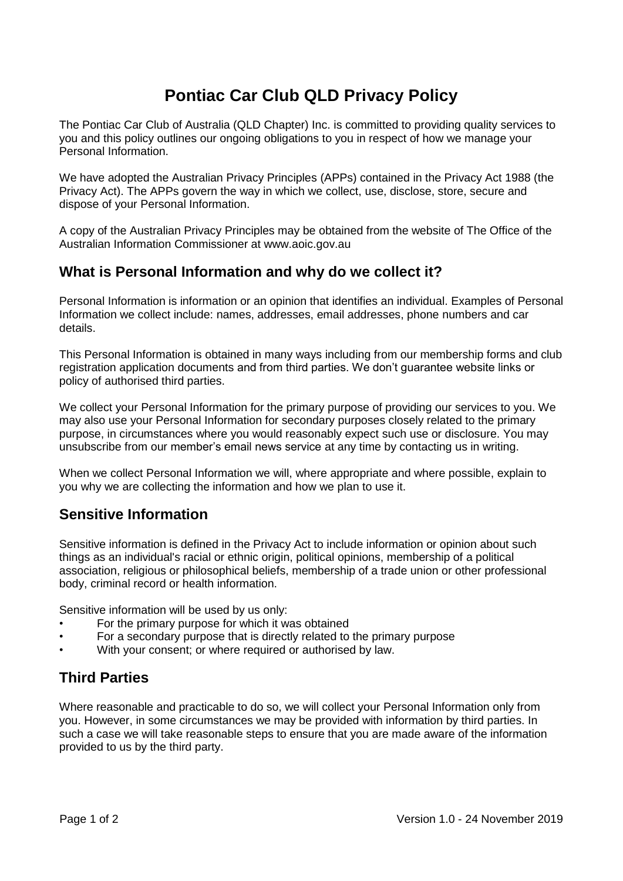# **Pontiac Car Club QLD Privacy Policy**

The Pontiac Car Club of Australia (QLD Chapter) Inc. is committed to providing quality services to you and this policy outlines our ongoing obligations to you in respect of how we manage your Personal Information.

We have adopted the Australian Privacy Principles (APPs) contained in the Privacy Act 1988 (the Privacy Act). The APPs govern the way in which we collect, use, disclose, store, secure and dispose of your Personal Information.

A copy of the Australian Privacy Principles may be obtained from the website of The Office of the Australian Information Commissioner at www.aoic.gov.au

#### **What is Personal Information and why do we collect it?**

Personal Information is information or an opinion that identifies an individual. Examples of Personal Information we collect include: names, addresses, email addresses, phone numbers and car details.

This Personal Information is obtained in many ways including from our membership forms and club registration application documents and from third parties. We don't guarantee website links or policy of authorised third parties.

We collect your Personal Information for the primary purpose of providing our services to you. We may also use your Personal Information for secondary purposes closely related to the primary purpose, in circumstances where you would reasonably expect such use or disclosure. You may unsubscribe from our member's email news service at any time by contacting us in writing.

When we collect Personal Information we will, where appropriate and where possible, explain to you why we are collecting the information and how we plan to use it.

#### **Sensitive Information**

Sensitive information is defined in the Privacy Act to include information or opinion about such things as an individual's racial or ethnic origin, political opinions, membership of a political association, religious or philosophical beliefs, membership of a trade union or other professional body, criminal record or health information.

Sensitive information will be used by us only:

- For the primary purpose for which it was obtained
- For a secondary purpose that is directly related to the primary purpose
- With your consent; or where required or authorised by law.

#### **Third Parties**

Where reasonable and practicable to do so, we will collect your Personal Information only from you. However, in some circumstances we may be provided with information by third parties. In such a case we will take reasonable steps to ensure that you are made aware of the information provided to us by the third party.